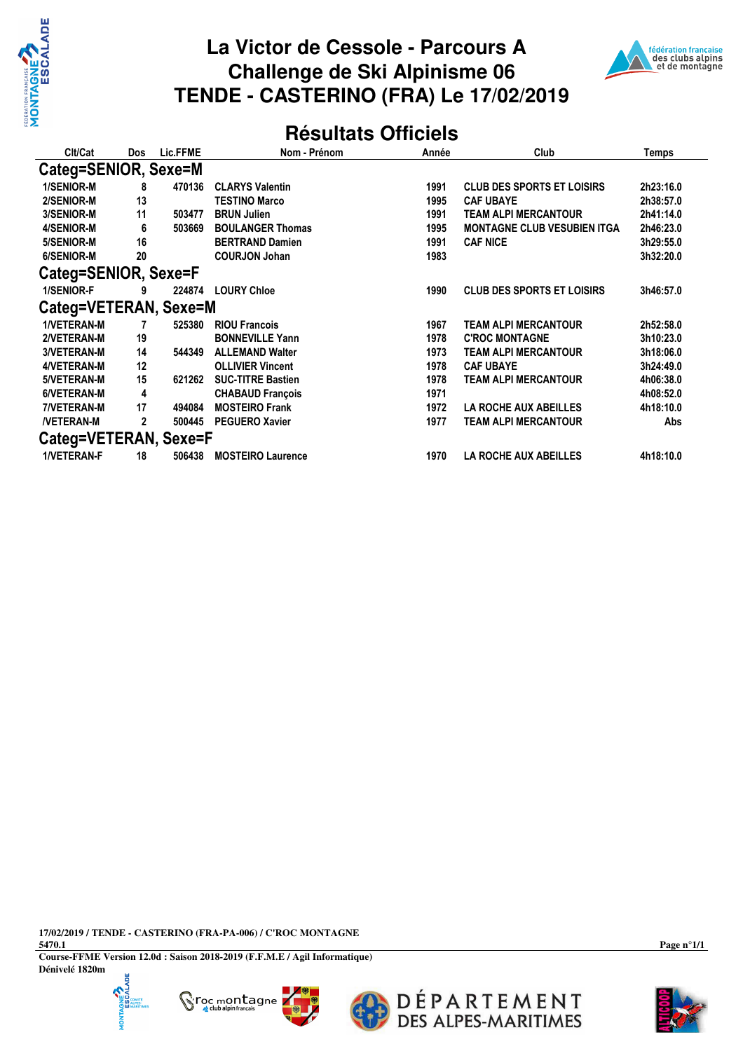

## **La Victor de Cessole - Parcours A Challenge de Ski Alpinisme 06 TENDE - CASTERINO (FRA) Le 17/02/2019**



## **Résultats Officiels**

| Clt/Cat               | <b>Dos</b> | Lic.FFME | Nom - Prénom             | Année | Club                               | Temps     |  |  |  |
|-----------------------|------------|----------|--------------------------|-------|------------------------------------|-----------|--|--|--|
| Categ=SENIOR, Sexe=M  |            |          |                          |       |                                    |           |  |  |  |
| 1/SENIOR-M            | 8          | 470136   | <b>CLARYS Valentin</b>   | 1991  | <b>CLUB DES SPORTS ET LOISIRS</b>  | 2h23:16.0 |  |  |  |
| 2/SENIOR-M            | 13         |          | <b>TESTINO Marco</b>     | 1995  | <b>CAF UBAYE</b>                   | 2h38:57.0 |  |  |  |
| 3/SENIOR-M            | 11         | 503477   | <b>BRUN Julien</b>       | 1991  | TEAM ALPI MERCANTOUR               | 2h41:14.0 |  |  |  |
| 4/SENIOR-M            | 6          | 503669   | <b>BOULANGER Thomas</b>  | 1995  | <b>MONTAGNE CLUB VESUBIEN ITGA</b> | 2h46:23.0 |  |  |  |
| 5/SENIOR-M            | 16         |          | <b>BERTRAND Damien</b>   | 1991  | <b>CAF NICE</b>                    | 3h29:55.0 |  |  |  |
| 6/SENIOR-M            | 20         |          | <b>COURJON Johan</b>     | 1983  |                                    | 3h32:20.0 |  |  |  |
| Categ=SENIOR, Sexe=F  |            |          |                          |       |                                    |           |  |  |  |
| 1/SENIOR-F            | 9          | 224874   | <b>LOURY Chloe</b>       | 1990  | <b>CLUB DES SPORTS ET LOISIRS</b>  | 3h46:57.0 |  |  |  |
| Categ=VETERAN, Sexe=M |            |          |                          |       |                                    |           |  |  |  |
| <b>1/VETERAN-M</b>    |            | 525380   | <b>RIOU Francois</b>     | 1967  | <b>TEAM ALPI MERCANTOUR</b>        | 2h52:58.0 |  |  |  |
| 2/VETERAN-M           | 19         |          | <b>BONNEVILLE Yann</b>   | 1978  | <b>C'ROC MONTAGNE</b>              | 3h10:23.0 |  |  |  |
| <b>3/VETERAN-M</b>    | 14         | 544349   | <b>ALLEMAND Walter</b>   | 1973  | TEAM ALPI MERCANTOUR               | 3h18:06.0 |  |  |  |
| 4/VETERAN-M           | 12         |          | <b>OLLIVIER Vincent</b>  | 1978  | <b>CAF UBAYE</b>                   | 3h24:49.0 |  |  |  |
| 5/VETERAN-M           | 15         | 621262   | <b>SUC-TITRE Bastien</b> | 1978  | TEAM ALPI MERCANTOUR               | 4h06:38.0 |  |  |  |
| 6/VETERAN-M           | 4          |          | <b>CHABAUD François</b>  | 1971  |                                    | 4h08:52.0 |  |  |  |
| 7/VETERAN-M           | 17         | 494084   | <b>MOSTEIRO Frank</b>    | 1972  | <b>LA ROCHE AUX ABEILLES</b>       | 4h18:10.0 |  |  |  |
| <b>NETERAN-M</b>      | 2          | 500445   | <b>PEGUERO Xavier</b>    | 1977  | TEAM ALPI MERCANTOUR               | Abs       |  |  |  |
| Categ=VETERAN, Sexe=F |            |          |                          |       |                                    |           |  |  |  |
| <b>1/VETERAN-F</b>    | 18         | 506438   | <b>MOSTEIRO Laurence</b> | 1970  | <b>LA ROCHE AUX ABEILLES</b>       | 4h18:10.0 |  |  |  |

**17/02/2019 / TENDE - CASTERINO (FRA-PA-006) / C'ROC MONTAGNE**

**5470.1 Course-FFME Version 12.0d : Saison 2018-2019 (F.F.M.E / Agil Informatique) Dénivelé 1820m**



K